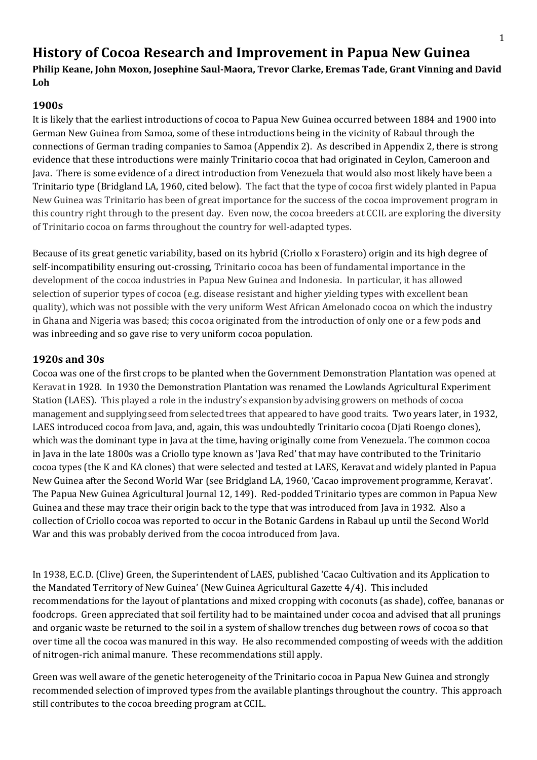# **History of Cocoa Research and Improvement in Papua New Guinea**

**Philip Keane, John Moxon, Josephine Saul-Maora, Trevor Clarke, Eremas Tade, Grant Vinning and David Loh**

# **1900s**

It is likely that the earliest introductions of cocoa to Papua New Guinea occurred between 1884 and 1900 into German New Guinea from Samoa, some of these introductions being in the vicinity of Rabaul through the connections of German trading companies to Samoa (Appendix 2). As described in Appendix 2, there is strong evidence that these introductions were mainly Trinitario cocoa that had originated in Ceylon, Cameroon and Java. There is some evidence of a direct introduction from Venezuela that would also most likely have been a Trinitario type (Bridgland LA, 1960, cited below). The fact that the type of cocoa first widely planted in Papua New Guinea was Trinitario has been of great importance for the success of the cocoa improvement program in this country right through to the present day. Even now, the cocoa breeders at CCIL are exploring the diversity of Trinitario cocoa on farms throughout the country for well-adapted types.

Because of its great genetic variability, based on its hybrid (Criollo x Forastero) origin and its high degree of self-incompatibility ensuring out-crossing, Trinitario cocoa has been of fundamental importance in the development of the cocoa industries in Papua New Guinea and Indonesia. In particular, it has allowed selection of superior types of cocoa (e.g. disease resistant and higher yielding types with excellent bean quality), which was not possible with the very uniform West African Amelonado cocoa on which the industry in Ghana and Nigeria was based; this cocoa originated from the introduction of only one or a few pods and was inbreeding and so gave rise to very uniform cocoa population.

# **1920s and 30s**

Cocoa was one of the first crops to be planted when the Government Demonstration Plantation was opened at Keravat in 1928. In 1930 the Demonstration Plantation was renamed the Lowlands Agricultural Experiment Station (LAES). This played a role in the industry's expansion by advising growers on methods of cocoa management and supplying seed from selected trees that appeared to have good traits. Two years later, in 1932, LAES introduced cocoa from Java, and, again, this was undoubtedly Trinitario cocoa (Djati Roengo clones), which was the dominant type in Java at the time, having originally come from Venezuela. The common cocoa in Java in the late 1800s was a Criollo type known as 'Java Red' that may have contributed to the Trinitario cocoa types (the K and KA clones) that were selected and tested at LAES, Keravat and widely planted in Papua New Guinea after the Second World War (see Bridgland LA, 1960, 'Cacao improvement programme, Keravat'. The Papua New Guinea Agricultural Journal 12, 149). Red-podded Trinitario types are common in Papua New Guinea and these may trace their origin back to the type that was introduced from Java in 1932. Also a collection of Criollo cocoa was reported to occur in the Botanic Gardens in Rabaul up until the Second World War and this was probably derived from the cocoa introduced from Java.

In 1938, E.C.D. (Clive) Green, the Superintendent of LAES, published 'Cacao Cultivation and its Application to the Mandated Territory of New Guinea' (New Guinea Agricultural Gazette 4/4). This included recommendations for the layout of plantations and mixed cropping with coconuts (as shade), coffee, bananas or foodcrops. Green appreciated that soil fertility had to be maintained under cocoa and advised that all prunings and organic waste be returned to the soil in a system of shallow trenches dug between rows of cocoa so that over time all the cocoa was manured in this way. He also recommended composting of weeds with the addition of nitrogen-rich animal manure. These recommendations still apply.

Green was well aware of the genetic heterogeneity of the Trinitario cocoa in Papua New Guinea and strongly recommended selection of improved types from the available plantings throughout the country. This approach still contributes to the cocoa breeding program at CCIL.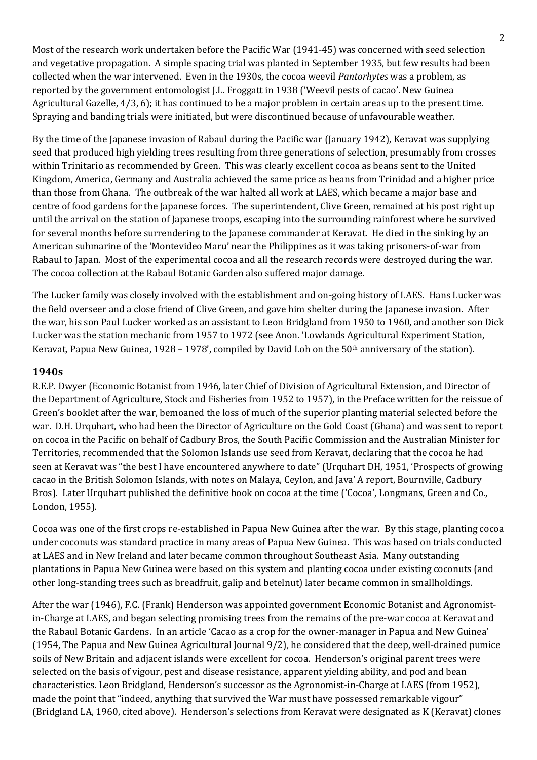Most of the research work undertaken before the Pacific War (1941-45) was concerned with seed selection and vegetative propagation. A simple spacing trial was planted in September 1935, but few results had been collected when the war intervened. Even in the 1930s, the cocoa weevil *Pantorhytes* was a problem, as reported by the government entomologist J.L. Froggatt in 1938 ('Weevil pests of cacao'. New Guinea Agricultural Gazelle, 4/3, 6); it has continued to be a major problem in certain areas up to the present time. Spraying and banding trials were initiated, but were discontinued because of unfavourable weather.

By the time of the Japanese invasion of Rabaul during the Pacific war (January 1942), Keravat was supplying seed that produced high yielding trees resulting from three generations of selection, presumably from crosses within Trinitario as recommended by Green. This was clearly excellent cocoa as beans sent to the United Kingdom, America, Germany and Australia achieved the same price as beans from Trinidad and a higher price than those from Ghana. The outbreak of the war halted all work at LAES, which became a major base and centre of food gardens for the Japanese forces. The superintendent, Clive Green, remained at his post right up until the arrival on the station of Japanese troops, escaping into the surrounding rainforest where he survived for several months before surrendering to the Japanese commander at Keravat. He died in the sinking by an American submarine of the 'Montevideo Maru' near the Philippines as it was taking prisoners-of-war from Rabaul to Japan. Most of the experimental cocoa and all the research records were destroyed during the war. The cocoa collection at the Rabaul Botanic Garden also suffered major damage.

The Lucker family was closely involved with the establishment and on-going history of LAES. Hans Lucker was the field overseer and a close friend of Clive Green, and gave him shelter during the Japanese invasion. After the war, his son Paul Lucker worked as an assistant to Leon Bridgland from 1950 to 1960, and another son Dick Lucker was the station mechanic from 1957 to 1972 (see Anon. 'Lowlands Agricultural Experiment Station, Keravat, Papua New Guinea, 1928 – 1978', compiled by David Loh on the  $50<sup>th</sup>$  anniversary of the station).

## **1940s**

R.E.P. Dwyer (Economic Botanist from 1946, later Chief of Division of Agricultural Extension, and Director of the Department of Agriculture, Stock and Fisheries from 1952 to 1957), in the Preface written for the reissue of Green's booklet after the war, bemoaned the loss of much of the superior planting material selected before the war. D.H. Urquhart, who had been the Director of Agriculture on the Gold Coast (Ghana) and was sent to report on cocoa in the Pacific on behalf of Cadbury Bros, the South Pacific Commission and the Australian Minister for Territories, recommended that the Solomon Islands use seed from Keravat, declaring that the cocoa he had seen at Keravat was "the best I have encountered anywhere to date" (Urquhart DH, 1951, 'Prospects of growing cacao in the British Solomon Islands, with notes on Malaya, Ceylon, and Java' A report, Bournville, Cadbury Bros). Later Urquhart published the definitive book on cocoa at the time ('Cocoa', Longmans, Green and Co., London, 1955).

Cocoa was one of the first crops re-established in Papua New Guinea after the war. By this stage, planting cocoa under coconuts was standard practice in many areas of Papua New Guinea. This was based on trials conducted at LAES and in New Ireland and later became common throughout Southeast Asia. Many outstanding plantations in Papua New Guinea were based on this system and planting cocoa under existing coconuts (and other long-standing trees such as breadfruit, galip and betelnut) later became common in smallholdings.

After the war (1946), F.C. (Frank) Henderson was appointed government Economic Botanist and Agronomistin-Charge at LAES, and began selecting promising trees from the remains of the pre-war cocoa at Keravat and the Rabaul Botanic Gardens. In an article 'Cacao as a crop for the owner-manager in Papua and New Guinea' (1954, The Papua and New Guinea Agricultural Journal 9/2), he considered that the deep, well-drained pumice soils of New Britain and adjacent islands were excellent for cocoa. Henderson's original parent trees were selected on the basis of vigour, pest and disease resistance, apparent yielding ability, and pod and bean characteristics. Leon Bridgland, Henderson's successor as the Agronomist-in-Charge at LAES (from 1952), made the point that "indeed, anything that survived the War must have possessed remarkable vigour" (Bridgland LA, 1960, cited above). Henderson's selections from Keravat were designated as K (Keravat) clones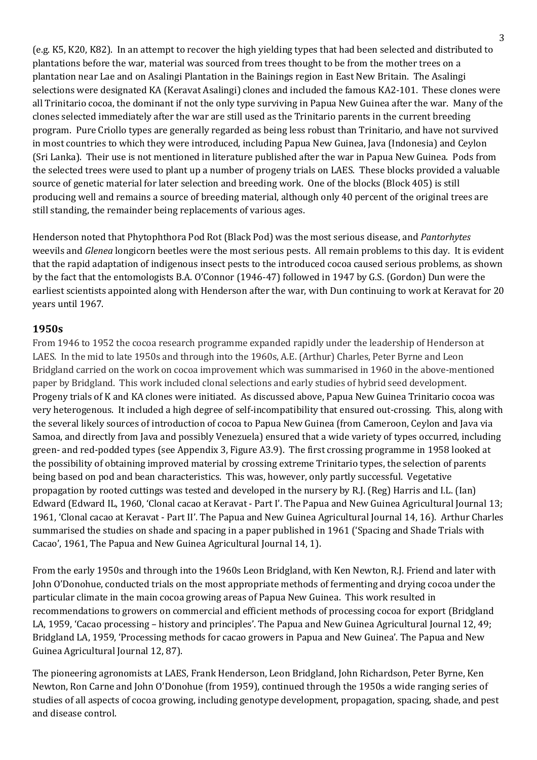(e.g. K5, K20, K82). In an attempt to recover the high yielding types that had been selected and distributed to plantations before the war, material was sourced from trees thought to be from the mother trees on a plantation near Lae and on Asalingi Plantation in the Bainings region in East New Britain. The Asalingi selections were designated KA (Keravat Asalingi) clones and included the famous KA2-101. These clones were all Trinitario cocoa, the dominant if not the only type surviving in Papua New Guinea after the war. Many of the clones selected immediately after the war are still used as the Trinitario parents in the current breeding program. Pure Criollo types are generally regarded as being less robust than Trinitario, and have not survived in most countries to which they were introduced, including Papua New Guinea, Java (Indonesia) and Ceylon (Sri Lanka). Their use is not mentioned in literature published after the war in Papua New Guinea. Pods from the selected trees were used to plant up a number of progeny trials on LAES. These blocks provided a valuable source of genetic material for later selection and breeding work. One of the blocks (Block 405) is still producing well and remains a source of breeding material, although only 40 percent of the original trees are still standing, the remainder being replacements of various ages.

Henderson noted that Phytophthora Pod Rot (Black Pod) was the most serious disease, and *Pantorhytes*  weevils and *Glenea* longicorn beetles were the most serious pests. All remain problems to this day. It is evident that the rapid adaptation of indigenous insect pests to the introduced cocoa caused serious problems, as shown by the fact that the entomologists B.A. O'Connor (1946-47) followed in 1947 by G.S. (Gordon) Dun were the earliest scientists appointed along with Henderson after the war, with Dun continuing to work at Keravat for 20 years until 1967.

#### **1950s**

From 1946 to 1952 the cocoa research programme expanded rapidly under the leadership of Henderson at LAES. In the mid to late 1950s and through into the 1960s, A.E. (Arthur) Charles, Peter Byrne and Leon Bridgland carried on the work on cocoa improvement which was summarised in 1960 in the above-mentioned paper by Bridgland. This work included clonal selections and early studies of hybrid seed development. Progeny trials of K and KA clones were initiated. As discussed above, Papua New Guinea Trinitario cocoa was very heterogenous. It included a high degree of self-incompatibility that ensured out-crossing. This, along with the several likely sources of introduction of cocoa to Papua New Guinea (from Cameroon, Ceylon and Java via Samoa, and directly from Java and possibly Venezuela) ensured that a wide variety of types occurred, including green- and red-podded types (see Appendix 3, Figure A3.9). The first crossing programme in 1958 looked at the possibility of obtaining improved material by crossing extreme Trinitario types, the selection of parents being based on pod and bean characteristics. This was, however, only partly successful. Vegetative propagation by rooted cuttings was tested and developed in the nursery by R.J. (Reg) Harris and I.L. (Ian) Edward (Edward IL, 1960, 'Clonal cacao at Keravat - Part I'. The Papua and New Guinea Agricultural Journal 13; 1961, 'Clonal cacao at Keravat - Part II'. The Papua and New Guinea Agricultural Journal 14, 16). Arthur Charles summarised the studies on shade and spacing in a paper published in 1961 ('Spacing and Shade Trials with Cacao', 1961, The Papua and New Guinea Agricultural Journal 14, 1).

From the early 1950s and through into the 1960s Leon Bridgland, with Ken Newton, R.J. Friend and later with John O'Donohue, conducted trials on the most appropriate methods of fermenting and drying cocoa under the particular climate in the main cocoa growing areas of Papua New Guinea. This work resulted in recommendations to growers on commercial and efficient methods of processing cocoa for export (Bridgland LA, 1959, 'Cacao processing – history and principles'. The Papua and New Guinea Agricultural Journal 12, 49; Bridgland LA, 1959, 'Processing methods for cacao growers in Papua and New Guinea'. The Papua and New Guinea Agricultural Journal 12, 87).

The pioneering agronomists at LAES, Frank Henderson, Leon Bridgland, John Richardson, Peter Byrne, Ken Newton, Ron Carne and John O'Donohue (from 1959), continued through the 1950s a wide ranging series of studies of all aspects of cocoa growing, including genotype development, propagation, spacing, shade, and pest and disease control.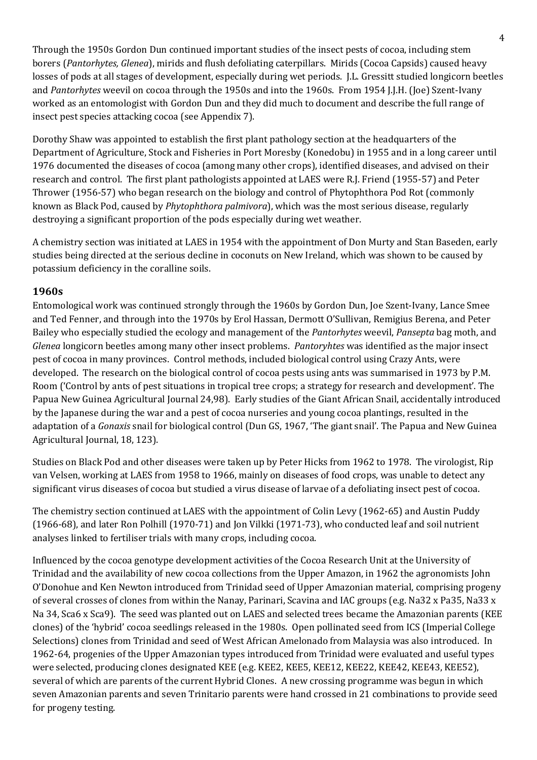Through the 1950s Gordon Dun continued important studies of the insect pests of cocoa, including stem borers (*Pantorhytes, Glenea*), mirids and flush defoliating caterpillars. Mirids (Cocoa Capsids) caused heavy losses of pods at all stages of development, especially during wet periods. J.L. Gressitt studied longicorn beetles and *Pantorhytes* weevil on cocoa through the 1950s and into the 1960s. From 1954 J.J.H. (Joe) Szent-Ivany worked as an entomologist with Gordon Dun and they did much to document and describe the full range of insect pest species attacking cocoa (see Appendix 7).

Dorothy Shaw was appointed to establish the first plant pathology section at the headquarters of the Department of Agriculture, Stock and Fisheries in Port Moresby (Konedobu) in 1955 and in a long career until 1976 documented the diseases of cocoa (among many other crops), identified diseases, and advised on their research and control. The first plant pathologists appointed at LAES were R.J. Friend (1955-57) and Peter Thrower (1956-57) who began research on the biology and control of Phytophthora Pod Rot (commonly known as Black Pod, caused by *Phytophthora palmivora*), which was the most serious disease, regularly destroying a significant proportion of the pods especially during wet weather.

A chemistry section was initiated at LAES in 1954 with the appointment of Don Murty and Stan Baseden, early studies being directed at the serious decline in coconuts on New Ireland, which was shown to be caused by potassium deficiency in the coralline soils.

## **1960s**

Entomological work was continued strongly through the 1960s by Gordon Dun, Joe Szent-Ivany, Lance Smee and Ted Fenner, and through into the 1970s by Erol Hassan, Dermott O'Sullivan, Remigius Berena, and Peter Bailey who especially studied the ecology and management of the *Pantorhytes* weevil, *Pansepta* bag moth, and *Glenea* longicorn beetles among many other insect problems. *Pantoryhtes* was identified as the major insect pest of cocoa in many provinces. Control methods, included biological control using Crazy Ants, were developed. The research on the biological control of cocoa pests using ants was summarised in 1973 by P.M. Room ('Control by ants of pest situations in tropical tree crops; a strategy for research and development'. The Papua New Guinea Agricultural Journal 24,98). Early studies of the Giant African Snail, accidentally introduced by the Japanese during the war and a pest of cocoa nurseries and young cocoa plantings, resulted in the adaptation of a *Gonaxis* snail for biological control (Dun GS, 1967, 'The giant snail'. The Papua and New Guinea Agricultural Journal, 18, 123).

Studies on Black Pod and other diseases were taken up by Peter Hicks from 1962 to 1978. The virologist, Rip van Velsen, working at LAES from 1958 to 1966, mainly on diseases of food crops, was unable to detect any significant virus diseases of cocoa but studied a virus disease of larvae of a defoliating insect pest of cocoa.

The chemistry section continued at LAES with the appointment of Colin Levy (1962-65) and Austin Puddy (1966-68), and later Ron Polhill (1970-71) and Jon Vilkki (1971-73), who conducted leaf and soil nutrient analyses linked to fertiliser trials with many crops, including cocoa.

Influenced by the cocoa genotype development activities of the Cocoa Research Unit at the University of Trinidad and the availability of new cocoa collections from the Upper Amazon, in 1962 the agronomists John O'Donohue and Ken Newton introduced from Trinidad seed of Upper Amazonian material, comprising progeny of several crosses of clones from within the Nanay, Parinari, Scavina and IAC groups (e.g. Na32 x Pa35, Na33 x Na 34, Sca6 x Sca9). The seed was planted out on LAES and selected trees became the Amazonian parents (KEE clones) of the 'hybrid' cocoa seedlings released in the 1980s. Open pollinated seed from ICS (Imperial College Selections) clones from Trinidad and seed of West African Amelonado from Malaysia was also introduced. In 1962-64, progenies of the Upper Amazonian types introduced from Trinidad were evaluated and useful types were selected, producing clones designated KEE (e.g. KEE2, KEE5, KEE12, KEE22, KEE42, KEE43, KEE52), several of which are parents of the current Hybrid Clones. A new crossing programme was begun in which seven Amazonian parents and seven Trinitario parents were hand crossed in 21 combinations to provide seed for progeny testing.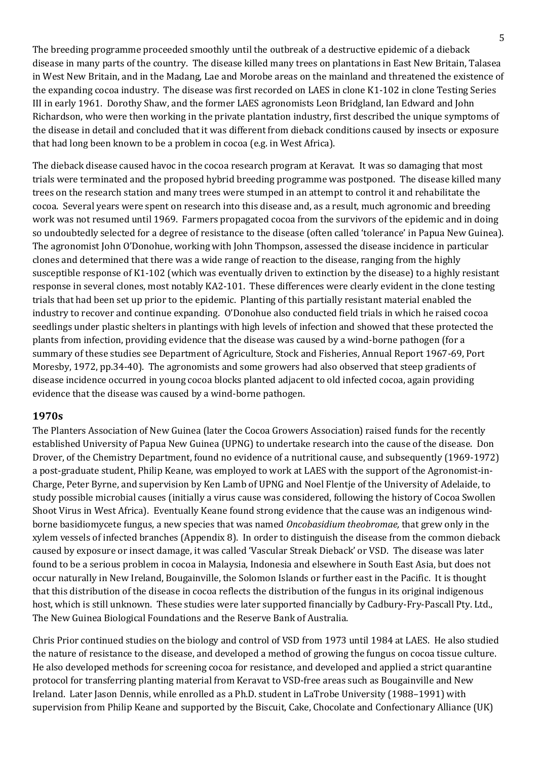The breeding programme proceeded smoothly until the outbreak of a destructive epidemic of a dieback disease in many parts of the country. The disease killed many trees on plantations in East New Britain, Talasea in West New Britain, and in the Madang, Lae and Morobe areas on the mainland and threatened the existence of the expanding cocoa industry. The disease was first recorded on LAES in clone K1-102 in clone Testing Series III in early 1961. Dorothy Shaw, and the former LAES agronomists Leon Bridgland, Ian Edward and John Richardson, who were then working in the private plantation industry, first described the unique symptoms of the disease in detail and concluded that it was different from dieback conditions caused by insects or exposure that had long been known to be a problem in cocoa (e.g. in West Africa).

The dieback disease caused havoc in the cocoa research program at Keravat. It was so damaging that most trials were terminated and the proposed hybrid breeding programme was postponed. The disease killed many trees on the research station and many trees were stumped in an attempt to control it and rehabilitate the cocoa. Several years were spent on research into this disease and, as a result, much agronomic and breeding work was not resumed until 1969. Farmers propagated cocoa from the survivors of the epidemic and in doing so undoubtedly selected for a degree of resistance to the disease (often called 'tolerance' in Papua New Guinea). The agronomist John O'Donohue, working with John Thompson, assessed the disease incidence in particular clones and determined that there was a wide range of reaction to the disease, ranging from the highly susceptible response of K1-102 (which was eventually driven to extinction by the disease) to a highly resistant response in several clones, most notably KA2-101. These differences were clearly evident in the clone testing trials that had been set up prior to the epidemic. Planting of this partially resistant material enabled the industry to recover and continue expanding. O'Donohue also conducted field trials in which he raised cocoa seedlings under plastic shelters in plantings with high levels of infection and showed that these protected the plants from infection, providing evidence that the disease was caused by a wind-borne pathogen (for a summary of these studies see Department of Agriculture, Stock and Fisheries, Annual Report 1967-69, Port Moresby, 1972, pp.34-40). The agronomists and some growers had also observed that steep gradients of disease incidence occurred in young cocoa blocks planted adjacent to old infected cocoa, again providing evidence that the disease was caused by a wind-borne pathogen.

#### **1970s**

The Planters Association of New Guinea (later the Cocoa Growers Association) raised funds for the recently established University of Papua New Guinea (UPNG) to undertake research into the cause of the disease. Don Drover, of the Chemistry Department, found no evidence of a nutritional cause, and subsequently (1969-1972) a post-graduate student, Philip Keane, was employed to work at LAES with the support of the Agronomist-in-Charge, Peter Byrne, and supervision by Ken Lamb of UPNG and Noel Flentje of the University of Adelaide, to study possible microbial causes (initially a virus cause was considered, following the history of Cocoa Swollen Shoot Virus in West Africa). Eventually Keane found strong evidence that the cause was an indigenous windborne basidiomycete fungus, a new species that was named *Oncobasidium theobromae,* that grew only in the xylem vessels of infected branches (Appendix 8). In order to distinguish the disease from the common dieback caused by exposure or insect damage, it was called 'Vascular Streak Dieback' or VSD. The disease was later found to be a serious problem in cocoa in Malaysia, Indonesia and elsewhere in South East Asia, but does not occur naturally in New Ireland, Bougainville, the Solomon Islands or further east in the Pacific. It is thought that this distribution of the disease in cocoa reflects the distribution of the fungus in its original indigenous host, which is still unknown. These studies were later supported financially by Cadbury-Fry-Pascall Pty. Ltd., The New Guinea Biological Foundations and the Reserve Bank of Australia.

Chris Prior continued studies on the biology and control of VSD from 1973 until 1984 at LAES. He also studied the nature of resistance to the disease, and developed a method of growing the fungus on cocoa tissue culture. He also developed methods for screening cocoa for resistance, and developed and applied a strict quarantine protocol for transferring planting material from Keravat to VSD-free areas such as Bougainville and New Ireland. Later Jason Dennis, while enrolled as a Ph.D. student in LaTrobe University (1988–1991) with supervision from Philip Keane and supported by the Biscuit, Cake, Chocolate and Confectionary Alliance (UK)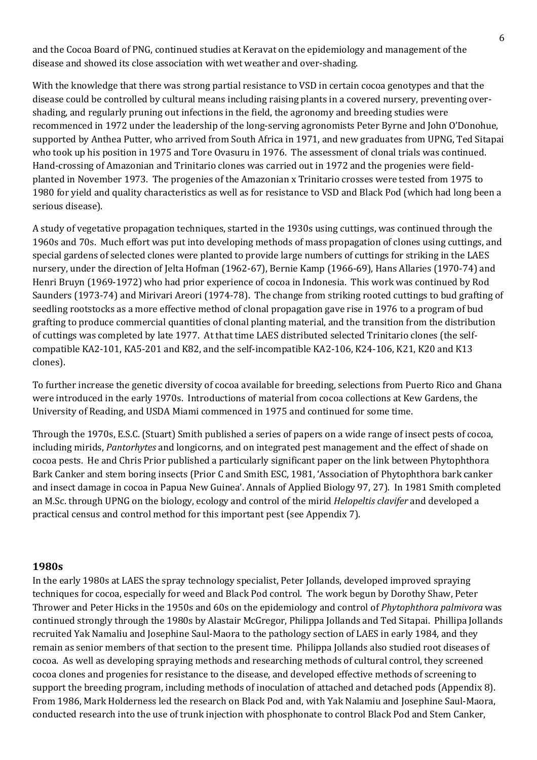and the Cocoa Board of PNG, continued studies at Keravat on the epidemiology and management of the disease and showed its close association with wet weather and over-shading.

With the knowledge that there was strong partial resistance to VSD in certain cocoa genotypes and that the disease could be controlled by cultural means including raising plants in a covered nursery, preventing overshading, and regularly pruning out infections in the field, the agronomy and breeding studies were recommenced in 1972 under the leadership of the long-serving agronomists Peter Byrne and John O'Donohue, supported by Anthea Putter, who arrived from South Africa in 1971, and new graduates from UPNG, Ted Sitapai who took up his position in 1975 and Tore Ovasuru in 1976. The assessment of clonal trials was continued. Hand-crossing of Amazonian and Trinitario clones was carried out in 1972 and the progenies were fieldplanted in November 1973. The progenies of the Amazonian x Trinitario crosses were tested from 1975 to 1980 for yield and quality characteristics as well as for resistance to VSD and Black Pod (which had long been a serious disease).

A study of vegetative propagation techniques, started in the 1930s using cuttings, was continued through the 1960s and 70s. Much effort was put into developing methods of mass propagation of clones using cuttings, and special gardens of selected clones were planted to provide large numbers of cuttings for striking in the LAES nursery, under the direction of Jelta Hofman (1962-67), Bernie Kamp (1966-69), Hans Allaries (1970-74) and Henri Bruyn (1969-1972) who had prior experience of cocoa in Indonesia. This work was continued by Rod Saunders (1973-74) and Mirivari Areori (1974-78). The change from striking rooted cuttings to bud grafting of seedling rootstocks as a more effective method of clonal propagation gave rise in 1976 to a program of bud grafting to produce commercial quantities of clonal planting material, and the transition from the distribution of cuttings was completed by late 1977. At that time LAES distributed selected Trinitario clones (the selfcompatible KA2-101, KA5-201 and K82, and the self-incompatible KA2-106, K24-106, K21, K20 and K13 clones).

To further increase the genetic diversity of cocoa available for breeding, selections from Puerto Rico and Ghana were introduced in the early 1970s. Introductions of material from cocoa collections at Kew Gardens, the University of Reading, and USDA Miami commenced in 1975 and continued for some time.

Through the 1970s, E.S.C. (Stuart) Smith published a series of papers on a wide range of insect pests of cocoa, including mirids, *Pantorhytes* and longicorns, and on integrated pest management and the effect of shade on cocoa pests. He and Chris Prior published a particularly significant paper on the link between Phytophthora Bark Canker and stem boring insects (Prior C and Smith ESC, 1981, 'Association of Phytophthora bark canker and insect damage in cocoa in Papua New Guinea'. Annals of Applied Biology 97, 27). In 1981 Smith completed an M.Sc. through UPNG on the biology, ecology and control of the mirid *Helopeltis clavifer* and developed a practical census and control method for this important pest (see Appendix 7).

#### **1980s**

In the early 1980s at LAES the spray technology specialist, Peter Jollands, developed improved spraying techniques for cocoa, especially for weed and Black Pod control. The work begun by Dorothy Shaw, Peter Thrower and Peter Hicks in the 1950s and 60s on the epidemiology and control of *Phytophthora palmivora* was continued strongly through the 1980s by Alastair McGregor, Philippa Jollands and Ted Sitapai. Phillipa Jollands recruited Yak Namaliu and Josephine Saul-Maora to the pathology section of LAES in early 1984, and they remain as senior members of that section to the present time. Philippa Jollands also studied root diseases of cocoa. As well as developing spraying methods and researching methods of cultural control, they screened cocoa clones and progenies for resistance to the disease, and developed effective methods of screening to support the breeding program, including methods of inoculation of attached and detached pods (Appendix 8). From 1986, Mark Holderness led the research on Black Pod and, with Yak Nalamiu and Josephine Saul-Maora, conducted research into the use of trunk injection with phosphonate to control Black Pod and Stem Canker,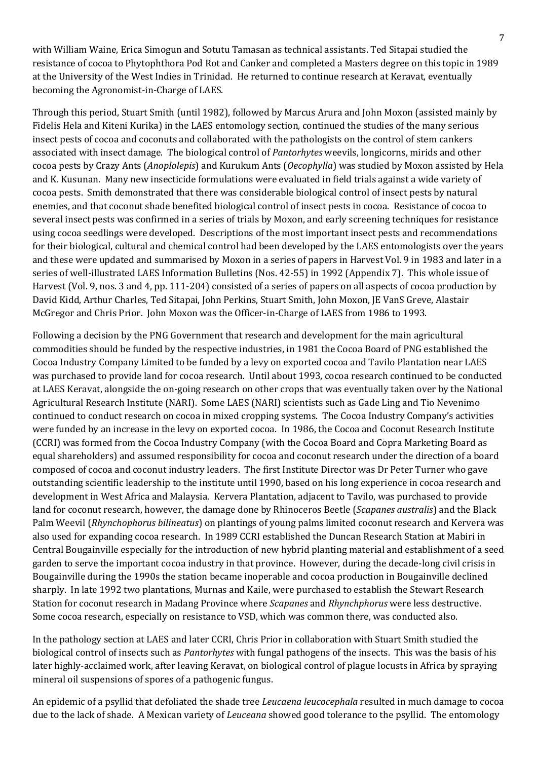with William Waine, Erica Simogun and Sotutu Tamasan as technical assistants. Ted Sitapai studied the resistance of cocoa to Phytophthora Pod Rot and Canker and completed a Masters degree on this topic in 1989 at the University of the West Indies in Trinidad. He returned to continue research at Keravat, eventually becoming the Agronomist-in-Charge of LAES.

Through this period, Stuart Smith (until 1982), followed by Marcus Arura and John Moxon (assisted mainly by Fidelis Hela and Kiteni Kurika) in the LAES entomology section, continued the studies of the many serious insect pests of cocoa and coconuts and collaborated with the pathologists on the control of stem cankers associated with insect damage. The biological control of *Pantorhytes* weevils, longicorns, mirids and other cocoa pests by Crazy Ants (*Anoplolepis*) and Kurukum Ants (*Oecophylla*) was studied by Moxon assisted by Hela and K. Kusunan. Many new insecticide formulations were evaluated in field trials against a wide variety of cocoa pests. Smith demonstrated that there was considerable biological control of insect pests by natural enemies, and that coconut shade benefited biological control of insect pests in cocoa. Resistance of cocoa to several insect pests was confirmed in a series of trials by Moxon, and early screening techniques for resistance using cocoa seedlings were developed. Descriptions of the most important insect pests and recommendations for their biological, cultural and chemical control had been developed by the LAES entomologists over the years and these were updated and summarised by Moxon in a series of papers in Harvest Vol. 9 in 1983 and later in a series of well-illustrated LAES Information Bulletins (Nos. 42-55) in 1992 (Appendix 7). This whole issue of Harvest (Vol. 9, nos. 3 and 4, pp. 111-204) consisted of a series of papers on all aspects of cocoa production by David Kidd, Arthur Charles, Ted Sitapai, John Perkins, Stuart Smith, John Moxon, JE VanS Greve, Alastair McGregor and Chris Prior. John Moxon was the Officer-in-Charge of LAES from 1986 to 1993.

Following a decision by the PNG Government that research and development for the main agricultural commodities should be funded by the respective industries, in 1981 the Cocoa Board of PNG established the Cocoa Industry Company Limited to be funded by a levy on exported cocoa and Tavilo Plantation near LAES was purchased to provide land for cocoa research. Until about 1993, cocoa research continued to be conducted at LAES Keravat, alongside the on-going research on other crops that was eventually taken over by the National Agricultural Research Institute (NARI). Some LAES (NARI) scientists such as Gade Ling and Tio Nevenimo continued to conduct research on cocoa in mixed cropping systems. The Cocoa Industry Company's activities were funded by an increase in the levy on exported cocoa. In 1986, the Cocoa and Coconut Research Institute (CCRI) was formed from the Cocoa Industry Company (with the Cocoa Board and Copra Marketing Board as equal shareholders) and assumed responsibility for cocoa and coconut research under the direction of a board composed of cocoa and coconut industry leaders. The first Institute Director was Dr Peter Turner who gave outstanding scientific leadership to the institute until 1990, based on his long experience in cocoa research and development in West Africa and Malaysia. Kervera Plantation, adjacent to Tavilo, was purchased to provide land for coconut research, however, the damage done by Rhinoceros Beetle (*Scapanes australis*) and the Black Palm Weevil (*Rhynchophorus bilineatus*) on plantings of young palms limited coconut research and Kervera was also used for expanding cocoa research. In 1989 CCRI established the Duncan Research Station at Mabiri in Central Bougainville especially for the introduction of new hybrid planting material and establishment of a seed garden to serve the important cocoa industry in that province. However, during the decade-long civil crisis in Bougainville during the 1990s the station became inoperable and cocoa production in Bougainville declined sharply. In late 1992 two plantations, Murnas and Kaile, were purchased to establish the Stewart Research Station for coconut research in Madang Province where *Scapanes* and *Rhynchphorus* were less destructive. Some cocoa research, especially on resistance to VSD, which was common there, was conducted also.

In the pathology section at LAES and later CCRI, Chris Prior in collaboration with Stuart Smith studied the biological control of insects such as *Pantorhytes* with fungal pathogens of the insects. This was the basis of his later highly-acclaimed work, after leaving Keravat, on biological control of plague locusts in Africa by spraying mineral oil suspensions of spores of a pathogenic fungus.

An epidemic of a psyllid that defoliated the shade tree *Leucaena leucocephala* resulted in much damage to cocoa due to the lack of shade. A Mexican variety of *Leuceana* showed good tolerance to the psyllid. The entomology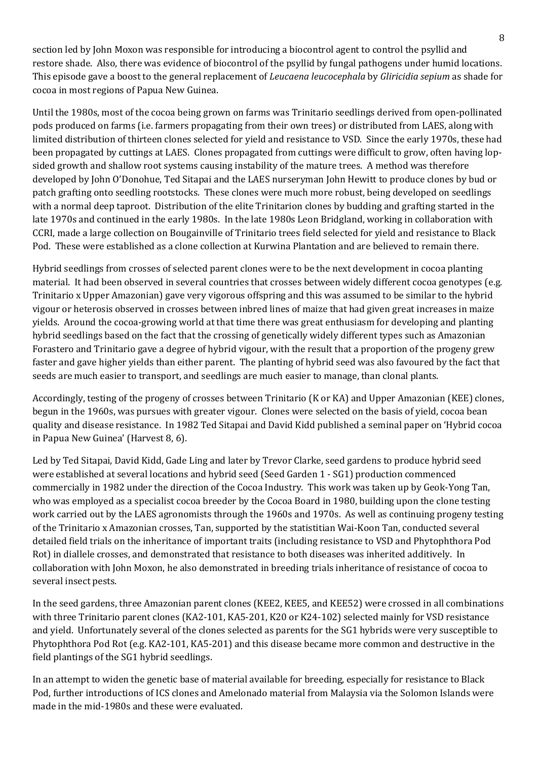section led by John Moxon was responsible for introducing a biocontrol agent to control the psyllid and restore shade. Also, there was evidence of biocontrol of the psyllid by fungal pathogens under humid locations. This episode gave a boost to the general replacement of *Leucaena leucocephala* by *Gliricidia sepium* as shade for cocoa in most regions of Papua New Guinea.

Until the 1980s, most of the cocoa being grown on farms was Trinitario seedlings derived from open-pollinated pods produced on farms (i.e. farmers propagating from their own trees) or distributed from LAES, along with limited distribution of thirteen clones selected for yield and resistance to VSD. Since the early 1970s, these had been propagated by cuttings at LAES. Clones propagated from cuttings were difficult to grow, often having lopsided growth and shallow root systems causing instability of the mature trees. A method was therefore developed by John O'Donohue, Ted Sitapai and the LAES nurseryman John Hewitt to produce clones by bud or patch grafting onto seedling rootstocks. These clones were much more robust, being developed on seedlings with a normal deep taproot. Distribution of the elite Trinitarion clones by budding and grafting started in the late 1970s and continued in the early 1980s. In the late 1980s Leon Bridgland, working in collaboration with CCRI, made a large collection on Bougainville of Trinitario trees field selected for yield and resistance to Black Pod. These were established as a clone collection at Kurwina Plantation and are believed to remain there.

Hybrid seedlings from crosses of selected parent clones were to be the next development in cocoa planting material. It had been observed in several countries that crosses between widely different cocoa genotypes (e.g. Trinitario x Upper Amazonian) gave very vigorous offspring and this was assumed to be similar to the hybrid vigour or heterosis observed in crosses between inbred lines of maize that had given great increases in maize yields. Around the cocoa-growing world at that time there was great enthusiasm for developing and planting hybrid seedlings based on the fact that the crossing of genetically widely different types such as Amazonian Forastero and Trinitario gave a degree of hybrid vigour, with the result that a proportion of the progeny grew faster and gave higher yields than either parent. The planting of hybrid seed was also favoured by the fact that seeds are much easier to transport, and seedlings are much easier to manage, than clonal plants.

Accordingly, testing of the progeny of crosses between Trinitario (K or KA) and Upper Amazonian (KEE) clones, begun in the 1960s, was pursues with greater vigour. Clones were selected on the basis of yield, cocoa bean quality and disease resistance. In 1982 Ted Sitapai and David Kidd published a seminal paper on 'Hybrid cocoa in Papua New Guinea' (Harvest 8, 6).

Led by Ted Sitapai, David Kidd, Gade Ling and later by Trevor Clarke, seed gardens to produce hybrid seed were established at several locations and hybrid seed (Seed Garden 1 - SG1) production commenced commercially in 1982 under the direction of the Cocoa Industry. This work was taken up by Geok-Yong Tan, who was employed as a specialist cocoa breeder by the Cocoa Board in 1980, building upon the clone testing work carried out by the LAES agronomists through the 1960s and 1970s. As well as continuing progeny testing of the Trinitario x Amazonian crosses, Tan, supported by the statistitian Wai-Koon Tan, conducted several detailed field trials on the inheritance of important traits (including resistance to VSD and Phytophthora Pod Rot) in diallele crosses, and demonstrated that resistance to both diseases was inherited additively. In collaboration with John Moxon, he also demonstrated in breeding trials inheritance of resistance of cocoa to several insect pests.

In the seed gardens, three Amazonian parent clones (KEE2, KEE5, and KEE52) were crossed in all combinations with three Trinitario parent clones (KA2-101, KA5-201, K20 or K24-102) selected mainly for VSD resistance and yield. Unfortunately several of the clones selected as parents for the SG1 hybrids were very susceptible to Phytophthora Pod Rot (e.g. KA2-101, KA5-201) and this disease became more common and destructive in the field plantings of the SG1 hybrid seedlings.

In an attempt to widen the genetic base of material available for breeding, especially for resistance to Black Pod, further introductions of ICS clones and Amelonado material from Malaysia via the Solomon Islands were made in the mid-1980s and these were evaluated.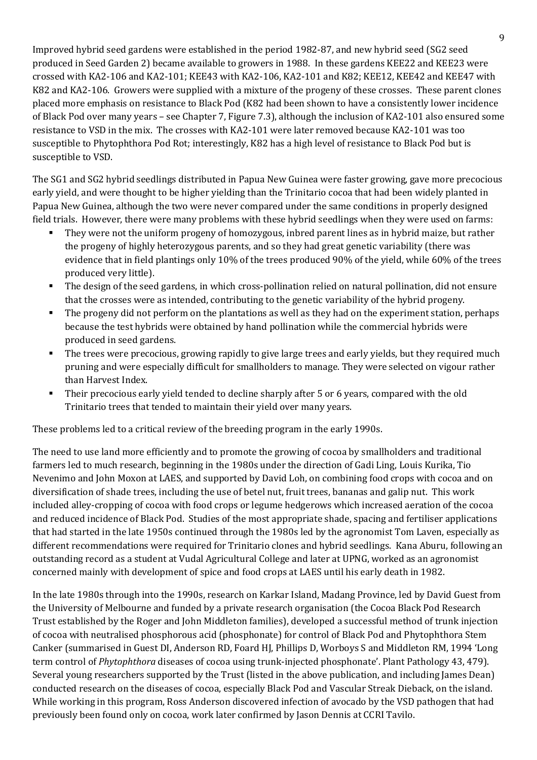Improved hybrid seed gardens were established in the period 1982-87, and new hybrid seed (SG2 seed produced in Seed Garden 2) became available to growers in 1988. In these gardens KEE22 and KEE23 were crossed with KA2-106 and KA2-101; KEE43 with KA2-106, KA2-101 and K82; KEE12, KEE42 and KEE47 with K82 and KA2-106. Growers were supplied with a mixture of the progeny of these crosses. These parent clones placed more emphasis on resistance to Black Pod (K82 had been shown to have a consistently lower incidence of Black Pod over many years – see Chapter 7, Figure 7.3), although the inclusion of KA2-101 also ensured some resistance to VSD in the mix. The crosses with KA2-101 were later removed because KA2-101 was too susceptible to Phytophthora Pod Rot; interestingly, K82 has a high level of resistance to Black Pod but is susceptible to VSD.

The SG1 and SG2 hybrid seedlings distributed in Papua New Guinea were faster growing, gave more precocious early yield, and were thought to be higher yielding than the Trinitario cocoa that had been widely planted in Papua New Guinea, although the two were never compared under the same conditions in properly designed field trials. However, there were many problems with these hybrid seedlings when they were used on farms:

- They were not the uniform progeny of homozygous, inbred parent lines as in hybrid maize, but rather the progeny of highly heterozygous parents, and so they had great genetic variability (there was evidence that in field plantings only 10% of the trees produced 90% of the yield, while 60% of the trees produced very little).
- The design of the seed gardens, in which cross-pollination relied on natural pollination, did not ensure that the crosses were as intended, contributing to the genetic variability of the hybrid progeny.
- The progeny did not perform on the plantations as well as they had on the experiment station, perhaps because the test hybrids were obtained by hand pollination while the commercial hybrids were produced in seed gardens.
- The trees were precocious, growing rapidly to give large trees and early yields, but they required much pruning and were especially difficult for smallholders to manage. They were selected on vigour rather than Harvest Index.
- Their precocious early yield tended to decline sharply after 5 or 6 years, compared with the old Trinitario trees that tended to maintain their yield over many years.

These problems led to a critical review of the breeding program in the early 1990s.

The need to use land more efficiently and to promote the growing of cocoa by smallholders and traditional farmers led to much research, beginning in the 1980s under the direction of Gadi Ling, Louis Kurika, Tio Nevenimo and John Moxon at LAES, and supported by David Loh, on combining food crops with cocoa and on diversification of shade trees, including the use of betel nut, fruit trees, bananas and galip nut. This work included alley-cropping of cocoa with food crops or legume hedgerows which increased aeration of the cocoa and reduced incidence of Black Pod. Studies of the most appropriate shade, spacing and fertiliser applications that had started in the late 1950s continued through the 1980s led by the agronomist Tom Laven, especially as different recommendations were required for Trinitario clones and hybrid seedlings. Kana Aburu, following an outstanding record as a student at Vudal Agricultural College and later at UPNG, worked as an agronomist concerned mainly with development of spice and food crops at LAES until his early death in 1982.

In the late 1980s through into the 1990s, research on Karkar Island, Madang Province, led by David Guest from the University of Melbourne and funded by a private research organisation (the Cocoa Black Pod Research Trust established by the Roger and John Middleton families), developed a successful method of trunk injection of cocoa with neutralised phosphorous acid (phosphonate) for control of Black Pod and Phytophthora Stem Canker (summarised in Guest DI, Anderson RD, Foard HJ, Phillips D, Worboys S and Middleton RM, 1994 'Long term control of *Phytophthora* diseases of cocoa using trunk-injected phosphonate'. Plant Pathology 43, 479). Several young researchers supported by the Trust (listed in the above publication, and including James Dean) conducted research on the diseases of cocoa, especially Black Pod and Vascular Streak Dieback, on the island. While working in this program, Ross Anderson discovered infection of avocado by the VSD pathogen that had previously been found only on cocoa, work later confirmed by Jason Dennis at CCRI Tavilo.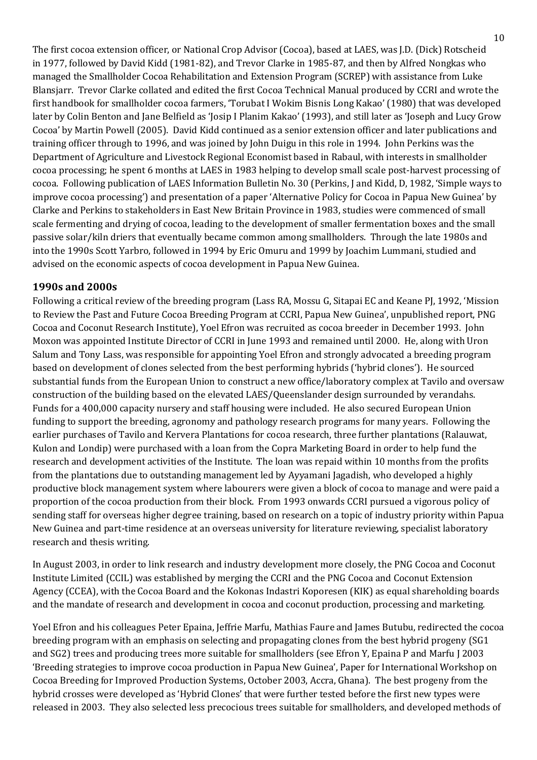The first cocoa extension officer, or National Crop Advisor (Cocoa), based at LAES, was J.D. (Dick) Rotscheid in 1977, followed by David Kidd (1981-82), and Trevor Clarke in 1985-87, and then by Alfred Nongkas who managed the Smallholder Cocoa Rehabilitation and Extension Program (SCREP) with assistance from Luke Blansjarr. Trevor Clarke collated and edited the first Cocoa Technical Manual produced by CCRI and wrote the first handbook for smallholder cocoa farmers, 'Torubat I Wokim Bisnis Long Kakao' (1980) that was developed later by Colin Benton and Jane Belfield as 'Josip I Planim Kakao' (1993), and still later as 'Joseph and Lucy Grow Cocoa' by Martin Powell (2005). David Kidd continued as a senior extension officer and later publications and training officer through to 1996, and was joined by John Duigu in this role in 1994. John Perkins was the Department of Agriculture and Livestock Regional Economist based in Rabaul, with interests in smallholder cocoa processing; he spent 6 months at LAES in 1983 helping to develop small scale post-harvest processing of cocoa. Following publication of LAES Information Bulletin No. 30 (Perkins, J and Kidd, D, 1982, 'Simple ways to improve cocoa processing') and presentation of a paper 'Alternative Policy for Cocoa in Papua New Guinea' by Clarke and Perkins to stakeholders in East New Britain Province in 1983, studies were commenced of small scale fermenting and drying of cocoa, leading to the development of smaller fermentation boxes and the small passive solar/kiln driers that eventually became common among smallholders. Through the late 1980s and into the 1990s Scott Yarbro, followed in 1994 by Eric Omuru and 1999 by Joachim Lummani, studied and advised on the economic aspects of cocoa development in Papua New Guinea.

## **1990s and 2000s**

Following a critical review of the breeding program (Lass RA, Mossu G, Sitapai EC and Keane PJ, 1992, 'Mission to Review the Past and Future Cocoa Breeding Program at CCRI, Papua New Guinea', unpublished report, PNG Cocoa and Coconut Research Institute), Yoel Efron was recruited as cocoa breeder in December 1993. John Moxon was appointed Institute Director of CCRI in June 1993 and remained until 2000. He, along with Uron Salum and Tony Lass, was responsible for appointing Yoel Efron and strongly advocated a breeding program based on development of clones selected from the best performing hybrids ('hybrid clones'). He sourced substantial funds from the European Union to construct a new office/laboratory complex at Tavilo and oversaw construction of the building based on the elevated LAES/Queenslander design surrounded by verandahs. Funds for a 400,000 capacity nursery and staff housing were included. He also secured European Union funding to support the breeding, agronomy and pathology research programs for many years. Following the earlier purchases of Tavilo and Kervera Plantations for cocoa research, three further plantations (Ralauwat, Kulon and Londip) were purchased with a loan from the Copra Marketing Board in order to help fund the research and development activities of the Institute. The loan was repaid within 10 months from the profits from the plantations due to outstanding management led by Ayyamani Jagadish, who developed a highly productive block management system where labourers were given a block of cocoa to manage and were paid a proportion of the cocoa production from their block. From 1993 onwards CCRI pursued a vigorous policy of sending staff for overseas higher degree training, based on research on a topic of industry priority within Papua New Guinea and part-time residence at an overseas university for literature reviewing, specialist laboratory research and thesis writing.

In August 2003, in order to link research and industry development more closely, the PNG Cocoa and Coconut Institute Limited (CCIL) was established by merging the CCRI and the PNG Cocoa and Coconut Extension Agency (CCEA), with the Cocoa Board and the Kokonas Indastri Koporesen (KIK) as equal shareholding boards and the mandate of research and development in cocoa and coconut production, processing and marketing.

Yoel Efron and his colleagues Peter Epaina, Jeffrie Marfu, Mathias Faure and James Butubu, redirected the cocoa breeding program with an emphasis on selecting and propagating clones from the best hybrid progeny (SG1 and SG2) trees and producing trees more suitable for smallholders (see Efron Y, Epaina P and Marfu J 2003 'Breeding strategies to improve cocoa production in Papua New Guinea', Paper for International Workshop on Cocoa Breeding for Improved Production Systems, October 2003, Accra, Ghana). The best progeny from the hybrid crosses were developed as 'Hybrid Clones' that were further tested before the first new types were released in 2003. They also selected less precocious trees suitable for smallholders, and developed methods of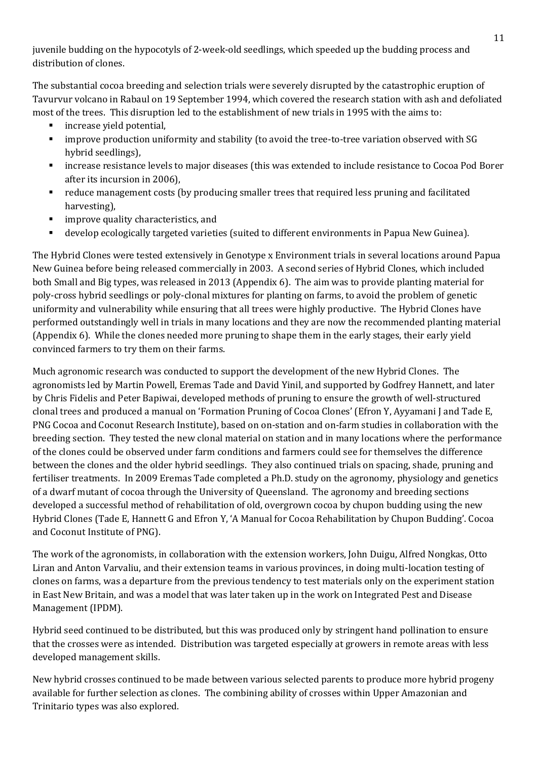juvenile budding on the hypocotyls of 2-week-old seedlings, which speeded up the budding process and distribution of clones.

The substantial cocoa breeding and selection trials were severely disrupted by the catastrophic eruption of Tavurvur volcano in Rabaul on 19 September 1994, which covered the research station with ash and defoliated most of the trees. This disruption led to the establishment of new trials in 1995 with the aims to:

- increase yield potential,
- improve production uniformity and stability (to avoid the tree-to-tree variation observed with SG hybrid seedlings),
- increase resistance levels to major diseases (this was extended to include resistance to Cocoa Pod Borer after its incursion in 2006),
- reduce management costs (by producing smaller trees that required less pruning and facilitated harvesting),
- **Induced Exercise** improve quality characteristics, and
- develop ecologically targeted varieties (suited to different environments in Papua New Guinea).

The Hybrid Clones were tested extensively in Genotype x Environment trials in several locations around Papua New Guinea before being released commercially in 2003. A second series of Hybrid Clones, which included both Small and Big types, was released in 2013 (Appendix 6). The aim was to provide planting material for poly-cross hybrid seedlings or poly-clonal mixtures for planting on farms, to avoid the problem of genetic uniformity and vulnerability while ensuring that all trees were highly productive. The Hybrid Clones have performed outstandingly well in trials in many locations and they are now the recommended planting material (Appendix 6). While the clones needed more pruning to shape them in the early stages, their early yield convinced farmers to try them on their farms.

Much agronomic research was conducted to support the development of the new Hybrid Clones. The agronomists led by Martin Powell, Eremas Tade and David Yinil, and supported by Godfrey Hannett, and later by Chris Fidelis and Peter Bapiwai, developed methods of pruning to ensure the growth of well-structured clonal trees and produced a manual on 'Formation Pruning of Cocoa Clones' (Efron Y, Ayyamani J and Tade E, PNG Cocoa and Coconut Research Institute), based on on-station and on-farm studies in collaboration with the breeding section. They tested the new clonal material on station and in many locations where the performance of the clones could be observed under farm conditions and farmers could see for themselves the difference between the clones and the older hybrid seedlings. They also continued trials on spacing, shade, pruning and fertiliser treatments. In 2009 Eremas Tade completed a Ph.D. study on the agronomy, physiology and genetics of a dwarf mutant of cocoa through the University of Queensland. The agronomy and breeding sections developed a successful method of rehabilitation of old, overgrown cocoa by chupon budding using the new Hybrid Clones (Tade E, Hannett G and Efron Y, 'A Manual for Cocoa Rehabilitation by Chupon Budding'. Cocoa and Coconut Institute of PNG).

The work of the agronomists, in collaboration with the extension workers, John Duigu, Alfred Nongkas, Otto Liran and Anton Varvaliu, and their extension teams in various provinces, in doing multi-location testing of clones on farms, was a departure from the previous tendency to test materials only on the experiment station in East New Britain, and was a model that was later taken up in the work on Integrated Pest and Disease Management (IPDM).

Hybrid seed continued to be distributed, but this was produced only by stringent hand pollination to ensure that the crosses were as intended. Distribution was targeted especially at growers in remote areas with less developed management skills.

New hybrid crosses continued to be made between various selected parents to produce more hybrid progeny available for further selection as clones. The combining ability of crosses within Upper Amazonian and Trinitario types was also explored.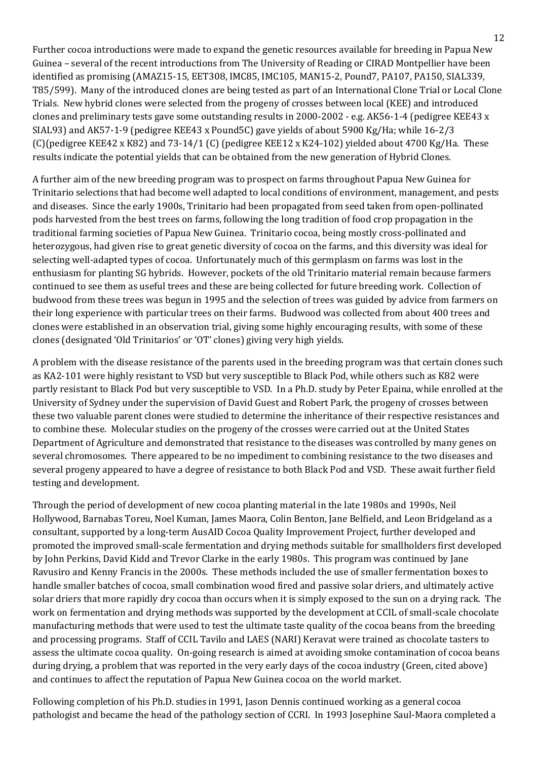Further cocoa introductions were made to expand the genetic resources available for breeding in Papua New Guinea – several of the recent introductions from The University of Reading or CIRAD Montpellier have been identified as promising (AMAZ15-15, EET308, IMC85, IMC105, MAN15-2, Pound7, PA107, PA150, SIAL339, T85/599). Many of the introduced clones are being tested as part of an International Clone Trial or Local Clone Trials. New hybrid clones were selected from the progeny of crosses between local (KEE) and introduced clones and preliminary tests gave some outstanding results in 2000-2002 - e.g. AK56-1-4 (pedigree KEE43 x SIAL93) and AK57-1-9 (pedigree KEE43 x Pound5C) gave yields of about 5900 Kg/Ha; while 16-2/3 (C)(pedigree KEE42 x K82) and 73-14/1 (C) (pedigree KEE12 x K24-102) yielded about 4700 Kg/Ha. These results indicate the potential yields that can be obtained from the new generation of Hybrid Clones.

A further aim of the new breeding program was to prospect on farms throughout Papua New Guinea for Trinitario selections that had become well adapted to local conditions of environment, management, and pests and diseases. Since the early 1900s, Trinitario had been propagated from seed taken from open-pollinated pods harvested from the best trees on farms, following the long tradition of food crop propagation in the traditional farming societies of Papua New Guinea. Trinitario cocoa, being mostly cross-pollinated and heterozygous, had given rise to great genetic diversity of cocoa on the farms, and this diversity was ideal for selecting well-adapted types of cocoa. Unfortunately much of this germplasm on farms was lost in the enthusiasm for planting SG hybrids. However, pockets of the old Trinitario material remain because farmers continued to see them as useful trees and these are being collected for future breeding work. Collection of budwood from these trees was begun in 1995 and the selection of trees was guided by advice from farmers on their long experience with particular trees on their farms. Budwood was collected from about 400 trees and clones were established in an observation trial, giving some highly encouraging results, with some of these clones (designated 'Old Trinitarios' or 'OT' clones) giving very high yields.

A problem with the disease resistance of the parents used in the breeding program was that certain clones such as KA2-101 were highly resistant to VSD but very susceptible to Black Pod, while others such as K82 were partly resistant to Black Pod but very susceptible to VSD. In a Ph.D. study by Peter Epaina, while enrolled at the University of Sydney under the supervision of David Guest and Robert Park, the progeny of crosses between these two valuable parent clones were studied to determine the inheritance of their respective resistances and to combine these. Molecular studies on the progeny of the crosses were carried out at the United States Department of Agriculture and demonstrated that resistance to the diseases was controlled by many genes on several chromosomes. There appeared to be no impediment to combining resistance to the two diseases and several progeny appeared to have a degree of resistance to both Black Pod and VSD. These await further field testing and development.

Through the period of development of new cocoa planting material in the late 1980s and 1990s, Neil Hollywood, Barnabas Toreu, Noel Kuman, James Maora, Colin Benton, Jane Belfield, and Leon Bridgeland as a consultant, supported by a long-term AusAID Cocoa Quality Improvement Project, further developed and promoted the improved small-scale fermentation and drying methods suitable for smallholders first developed by John Perkins, David Kidd and Trevor Clarke in the early 1980s. This program was continued by Jane Ravusiro and Kenny Francis in the 2000s. These methods included the use of smaller fermentation boxes to handle smaller batches of cocoa, small combination wood fired and passive solar driers, and ultimately active solar driers that more rapidly dry cocoa than occurs when it is simply exposed to the sun on a drying rack. The work on fermentation and drying methods was supported by the development at CCIL of small-scale chocolate manufacturing methods that were used to test the ultimate taste quality of the cocoa beans from the breeding and processing programs. Staff of CCIL Tavilo and LAES (NARI) Keravat were trained as chocolate tasters to assess the ultimate cocoa quality. On-going research is aimed at avoiding smoke contamination of cocoa beans during drying, a problem that was reported in the very early days of the cocoa industry (Green, cited above) and continues to affect the reputation of Papua New Guinea cocoa on the world market.

Following completion of his Ph.D. studies in 1991, Jason Dennis continued working as a general cocoa pathologist and became the head of the pathology section of CCRI. In 1993 Josephine Saul-Maora completed a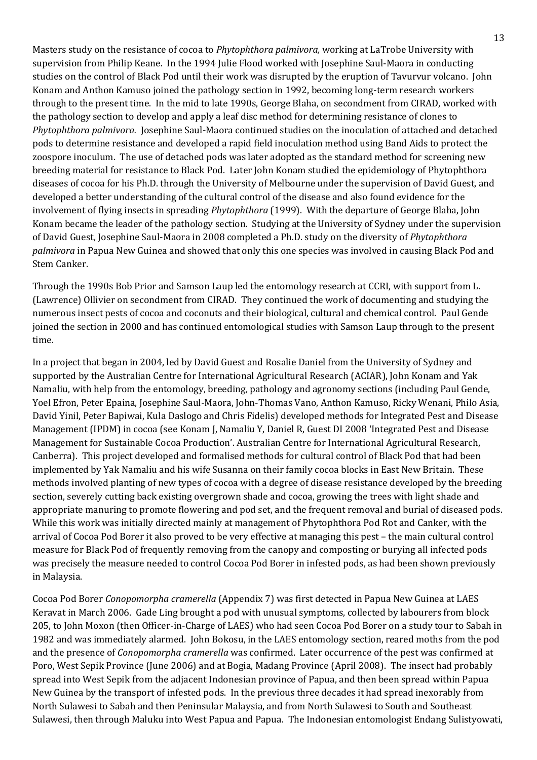Masters study on the resistance of cocoa to *Phytophthora palmivora,* working at LaTrobe University with supervision from Philip Keane. In the 1994 Julie Flood worked with Josephine Saul-Maora in conducting studies on the control of Black Pod until their work was disrupted by the eruption of Tavurvur volcano. John Konam and Anthon Kamuso joined the pathology section in 1992, becoming long-term research workers through to the present time. In the mid to late 1990s, George Blaha, on secondment from CIRAD, worked with the pathology section to develop and apply a leaf disc method for determining resistance of clones to *Phytophthora palmivora.* Josephine Saul-Maora continued studies on the inoculation of attached and detached pods to determine resistance and developed a rapid field inoculation method using Band Aids to protect the zoospore inoculum. The use of detached pods was later adopted as the standard method for screening new breeding material for resistance to Black Pod. Later John Konam studied the epidemiology of Phytophthora diseases of cocoa for his Ph.D. through the University of Melbourne under the supervision of David Guest, and developed a better understanding of the cultural control of the disease and also found evidence for the involvement of flying insects in spreading *Phytophthora* (1999). With the departure of George Blaha, John Konam became the leader of the pathology section. Studying at the University of Sydney under the supervision of David Guest, Josephine Saul-Maora in 2008 completed a Ph.D. study on the diversity of *Phytophthora palmivora* in Papua New Guinea and showed that only this one species was involved in causing Black Pod and Stem Canker.

Through the 1990s Bob Prior and Samson Laup led the entomology research at CCRI, with support from L. (Lawrence) Ollivier on secondment from CIRAD. They continued the work of documenting and studying the numerous insect pests of cocoa and coconuts and their biological, cultural and chemical control. Paul Gende joined the section in 2000 and has continued entomological studies with Samson Laup through to the present time.

In a project that began in 2004, led by David Guest and Rosalie Daniel from the University of Sydney and supported by the Australian Centre for International Agricultural Research (ACIAR), John Konam and Yak Namaliu, with help from the entomology, breeding, pathology and agronomy sections (including Paul Gende, Yoel Efron, Peter Epaina, Josephine Saul-Maora, John-Thomas Vano, Anthon Kamuso, Ricky Wenani, Philo Asia, David Yinil, Peter Bapiwai, Kula Daslogo and Chris Fidelis) developed methods for Integrated Pest and Disease Management (IPDM) in cocoa (see Konam J, Namaliu Y, Daniel R, Guest DI 2008 'Integrated Pest and Disease Management for Sustainable Cocoa Production'. Australian Centre for International Agricultural Research, Canberra). This project developed and formalised methods for cultural control of Black Pod that had been implemented by Yak Namaliu and his wife Susanna on their family cocoa blocks in East New Britain. These methods involved planting of new types of cocoa with a degree of disease resistance developed by the breeding section, severely cutting back existing overgrown shade and cocoa, growing the trees with light shade and appropriate manuring to promote flowering and pod set, and the frequent removal and burial of diseased pods. While this work was initially directed mainly at management of Phytophthora Pod Rot and Canker, with the arrival of Cocoa Pod Borer it also proved to be very effective at managing this pest – the main cultural control measure for Black Pod of frequently removing from the canopy and composting or burying all infected pods was precisely the measure needed to control Cocoa Pod Borer in infested pods, as had been shown previously in Malaysia.

Cocoa Pod Borer *Conopomorpha cramerella* (Appendix 7) was first detected in Papua New Guinea at LAES Keravat in March 2006. Gade Ling brought a pod with unusual symptoms, collected by labourers from block 205, to John Moxon (then Officer-in-Charge of LAES) who had seen Cocoa Pod Borer on a study tour to Sabah in 1982 and was immediately alarmed. John Bokosu, in the LAES entomology section, reared moths from the pod and the presence of *Conopomorpha cramerella* was confirmed. Later occurrence of the pest was confirmed at Poro, West Sepik Province (June 2006) and at Bogia, Madang Province (April 2008). The insect had probably spread into West Sepik from the adjacent Indonesian province of Papua, and then been spread within Papua New Guinea by the transport of infested pods. In the previous three decades it had spread inexorably from North Sulawesi to Sabah and then Peninsular Malaysia, and from North Sulawesi to South and Southeast Sulawesi, then through Maluku into West Papua and Papua. The Indonesian entomologist Endang Sulistyowati,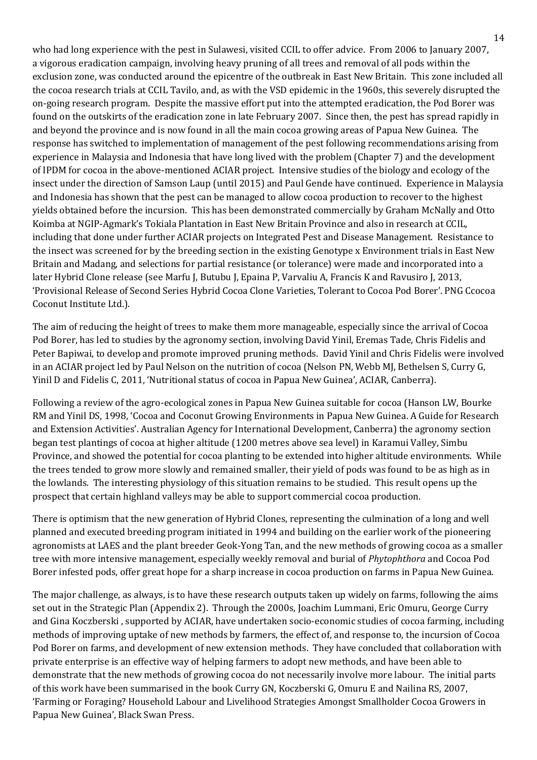who had long experience with the pest in Sulawesi, visited CCIL to offer advice. From 2006 to January 2007, a vigorous eradication campaign, involving heavy pruning of all trees and removal of all pods within the exclusion zone, was conducted around the epicentre of the outbreak in East New Britain. This zone included all the cocoa research trials at CCIL Tavilo, and, as with the VSD epidemic in the 1960s, this severely disrupted the on-going research program. Despite the massive effort put into the attempted eradication, the Pod Borer was found on the outskirts of the eradication zone in late February 2007. Since then, the pest has spread rapidly in and beyond the province and is now found in all the main cocoa growing areas of Papua New Guinea. The response has switched to implementation of management of the pest following recommendations arising from experience in Malaysia and Indonesia that have long lived with the problem (Chapter 7) and the development of IPDM for cocoa in the above-mentioned ACIAR project. Intensive studies of the biology and ecology of the insect under the direction of Samson Laup (until 2015) and Paul Gende have continued. Experience in Malaysia and Indonesia has shown that the pest can be managed to allow cocoa production to recover to the highest yields obtained before the incursion. This has been demonstrated commercially by Graham McNally and Otto Koimba at NGIP-Agmark's Tokiala Plantation in East New Britain Province and also in research at CCIL, including that done under further ACIAR projects on Integrated Pest and Disease Management. Resistance to the insect was screened for by the breeding section in the existing Genotype x Environment trials in East New Britain and Madang, and selections for partial resistance (or tolerance) were made and incorporated into a later Hybrid Clone release (see Marfu J, Butubu J, Epaina P, Varvaliu A, Francis K and Ravusiro J, 2013, 'Provisional Release of Second Series Hybrid Cocoa Clone Varieties, Tolerant to Cocoa Pod Borer'. PNG Ccocoa Coconut Institute Ltd.).

The aim of reducing the height of trees to make them more manageable, especially since the arrival of Cocoa Pod Borer, has led to studies by the agronomy section, involving David Yinil, Eremas Tade, Chris Fidelis and Peter Bapiwai, to develop and promote improved pruning methods. David Yinil and Chris Fidelis were involved in an ACIAR project led by Paul Nelson on the nutrition of cocoa (Nelson PN, Webb MJ, Bethelsen S, Curry G, Yinil D and Fidelis C, 2011, 'Nutritional status of cocoa in Papua New Guinea', ACIAR, Canberra).

Following a review of the agro-ecological zones in Papua New Guinea suitable for cocoa (Hanson LW, Bourke RM and Yinil DS, 1998, 'Cocoa and Coconut Growing Environments in Papua New Guinea. A Guide for Research and Extension Activities'. Australian Agency for International Development, Canberra) the agronomy section began test plantings of cocoa at higher altitude (1200 metres above sea level) in Karamui Valley, Simbu Province, and showed the potential for cocoa planting to be extended into higher altitude environments. While the trees tended to grow more slowly and remained smaller, their yield of pods was found to be as high as in the lowlands. The interesting physiology of this situation remains to be studied. This result opens up the prospect that certain highland valleys may be able to support commercial cocoa production.

There is optimism that the new generation of Hybrid Clones, representing the culmination of a long and well planned and executed breeding program initiated in 1994 and building on the earlier work of the pioneering agronomists at LAES and the plant breeder Geok-Yong Tan, and the new methods of growing cocoa as a smaller tree with more intensive management, especially weekly removal and burial of *Phytophthora* and Cocoa Pod Borer infested pods, offer great hope for a sharp increase in cocoa production on farms in Papua New Guinea.

The major challenge, as always, is to have these research outputs taken up widely on farms, following the aims set out in the Strategic Plan (Appendix 2). Through the 2000s, Joachim Lummani, Eric Omuru, George Curry and Gina Koczberski , supported by ACIAR, have undertaken socio-economic studies of cocoa farming, including methods of improving uptake of new methods by farmers, the effect of, and response to, the incursion of Cocoa Pod Borer on farms, and development of new extension methods. They have concluded that collaboration with private enterprise is an effective way of helping farmers to adopt new methods, and have been able to demonstrate that the new methods of growing cocoa do not necessarily involve more labour. The initial parts of this work have been summarised in the book Curry GN, Koczberski G, Omuru E and Nailina RS, 2007, 'Farming or Foraging? Household Labour and Livelihood Strategies Amongst Smallholder Cocoa Growers in Papua New Guinea', Black Swan Press.